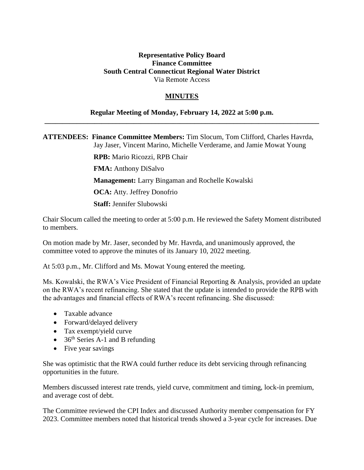## **Representative Policy Board Finance Committee South Central Connecticut Regional Water District** Via Remote Access

## **MINUTES**

## **Regular Meeting of Monday, February 14, 2022 at 5:00 p.m. \_\_\_\_\_\_\_\_\_\_\_\_\_\_\_\_\_\_\_\_\_\_\_\_\_\_\_\_\_\_\_\_\_\_\_\_\_\_\_\_\_\_\_\_\_\_\_\_\_\_\_\_\_\_\_\_\_\_\_\_\_\_\_\_\_\_\_\_\_\_\_\_\_\_\_\_\_**

**ATTENDEES: Finance Committee Members:** Tim Slocum, Tom Clifford, Charles Havrda, Jay Jaser, Vincent Marino, Michelle Verderame, and Jamie Mowat Young

> **RPB:** Mario Ricozzi, RPB Chair **FMA:** Anthony DiSalvo **Management:** Larry Bingaman and Rochelle Kowalski **OCA:** Atty. Jeffrey Donofrio **Staff:** Jennifer Slubowski

Chair Slocum called the meeting to order at 5:00 p.m. He reviewed the Safety Moment distributed to members.

On motion made by Mr. Jaser, seconded by Mr. Havrda, and unanimously approved, the committee voted to approve the minutes of its January 10, 2022 meeting.

At 5:03 p.m., Mr. Clifford and Ms. Mowat Young entered the meeting.

Ms. Kowalski, the RWA's Vice President of Financial Reporting & Analysis, provided an update on the RWA's recent refinancing. She stated that the update is intended to provide the RPB with the advantages and financial effects of RWA's recent refinancing. She discussed:

- Taxable advance
- Forward/delayed delivery
- Tax exempt/yield curve
- $\bullet$  36<sup>th</sup> Series A-1 and B refunding
- Five year savings

She was optimistic that the RWA could further reduce its debt servicing through refinancing opportunities in the future.

Members discussed interest rate trends, yield curve, commitment and timing, lock-in premium, and average cost of debt.

The Committee reviewed the CPI Index and discussed Authority member compensation for FY 2023. Committee members noted that historical trends showed a 3-year cycle for increases. Due